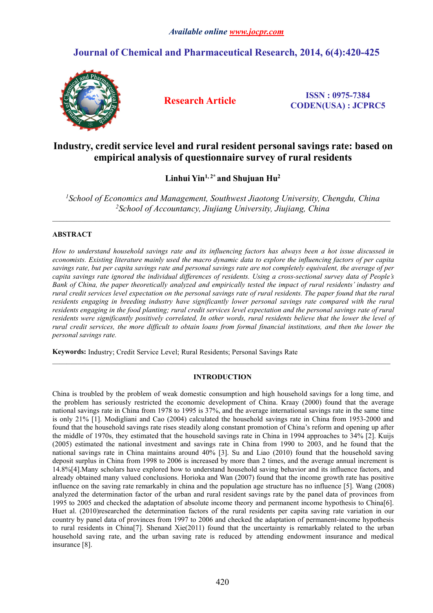## *Available online [www.jocpr.com](http://www.jocpr.com/)*

# **Journal of Chemical and Pharmaceutical Research, 2014, 6(4):420-425**



**Research Article ISSN : 0975-7384 CODEN(USA) : JCPRC5**

# **Industry, credit service level and rural resident personal savings rate: based on empirical analysis ofquestionnaire survey of rural residents**

## **Linhui Yin1, 2\* and Shujuan Hu<sup>2</sup>**

*<sup>1</sup>School of Economics and Management, Southwest Jiaotong University, Chengdu, China <sup>2</sup>School of Accountancy, Jiujiang University, Jiujiang, China*

 $\mathcal{L}_\mathcal{L} = \mathcal{L}_\mathcal{L}$ 

## **ABSTRACT**

How to understand household savings rate and its influencing factors has always been a hot issue discussed in economists. Existing literature mainly used the macro dynamic data to explore the influencing factors of per capita savings rate, but per capita savings rate and personal savings rate are not completely equivalent, the average of per capita savings rate ignored the individual differences of residents. Using a cross-sectional survey data of People's Bank of China, the paper theoretically analyzed and empirically tested the impact of rural residents' industry and rural credit services level expectation on the personal savings rate of rural residents. The paper found that the rural *residents engaging in breeding industry have significantly lower personal savings rate compared with the rural* residents engaging in the food planting; rural credit services level expectation and the personal savings rate of rural residents were significantly positively correlated. In other words, rural residents believe that the lower the level of rural credit services, the more difficult to obtain loans from formal financial institutions, and then the lower the *personal savings rate.*

**Keywords:** Industry; Credit Service Level; Rural Residents; Personal Savings Rate

### **INTRODUCTION**

China is troubled by the problem of weak domestic consumption and high household savings for a long time, and the problem has seriously restricted the economic development of China. Kraay (2000) found that the average national savings rate in China from 1978 to 1995 is 37%, and the average international savings rate in the same time is only 21% [1]. Modigliani and Cao (2004) calculated the household savings rate in China from 1953-2000 and found that the household savings rate rises steadily along constant promotion of China's reform and openingup after the middle of 1970s, they estimated that the household savings rate in China in 1994 approaches to 34% [2]. Kuijs (2005) estimated the national investment and savings rate in China from 1990 to 2003, and he found that the national savings rate in China maintains around  $40\%$  [3]. Su and Liao (2010) found that the household saving deposit surplus in China from 1998 to 2006 is increased by more than 2 times, and the average annual increment is 14.8%[4].Many scholars have explored how to understand household saving behavior and its influence factors, and already obtained many valued conclusions. Horioka and Wan (2007) found that the income growth rate has positive influence on the saving rate remarkably in china and the population age structure has no influence [5]. Wang (2008) analyzed the determination factor of the urban and rural resident savings rate by the panel data of provinces from 1995 to 2005 and checked the adaptation of absolute income theory and permanent income hypothesis to China[6]. Huet al. (2010)researched the determination factors of the rural residents per capita saving rate variation in our country by panel data of provinces from 1997 to 2006 and checked the adaptation of permanent-income hypothesis to rural residents in China[7]. Shenand Xie(2011) found that the uncertainty is remarkably related to the urban household saving rate, and the urban saving rate is reduced by attending endowment insurance and medical insurance [8].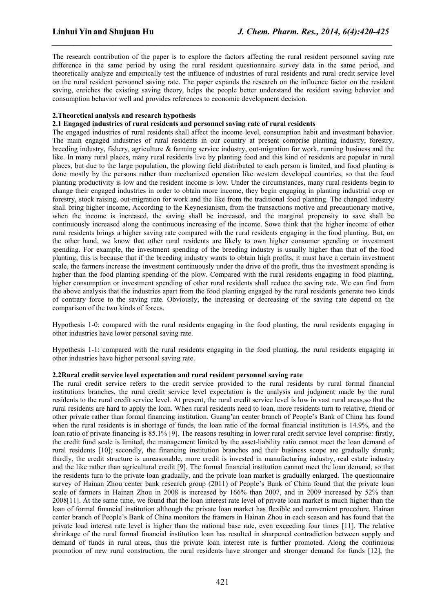The research contribution of the paper is to explore the factors affecting the rural resident personnel saving rate difference in the same period by using the rural resident questionnaire survey data in the same period, and theoretically analyze and empirically test the influence of industries of rural residents and rural credit service level on the rural resident personnel saving rate. The paper expands the research on the influence factor on the resident saving, enriches the existing saving theory, helps the people better understand the resident saving behavior and consumption behavior well and provides references to economic development decision.

*\_\_\_\_\_\_\_\_\_\_\_\_\_\_\_\_\_\_\_\_\_\_\_\_\_\_\_\_\_\_\_\_\_\_\_\_\_\_\_\_\_\_\_\_\_\_\_\_\_\_\_\_\_\_\_\_\_\_\_\_\_\_\_\_\_\_\_\_\_\_\_\_\_\_\_\_\_\_*

## **2.Theoretical analysis and research hypothesis**

## **2.1 Engaged industries of rural residents and personnel saving rate of rural residents**

The engaged industries of rural residents shallaffect the income level, consumption habit and investment behavior. The main engaged industries of rural residents in our country at present comprise planting industry, forestry, breeding industry, fishery, agriculture  $\&$  farming service industry, out-migration for work, running business and the like. In many rural places, many rural residents live by planting food and this kind of residents are popular in rural places, but due to the large population, the plowing field distributed to each person is limited, and food planting is done mostly by the persons rather than mechanized operation like western developed countries, so that the food planting productivity is low and the resident income islow. Under the circumstances, many rural residents begin to change their engaged industries in order to obtain more income, they begin engaging in planting industrial crop or forestry, stock raising, out-migration for work and the like from the traditional food planting. The changed industry shall bring higher income, According to the Keynesianism, from the transactions motive and precautionary motive, when the income is increased, the saving shall be increased, and the marginal propensity to save shall be continuously increased along the continuous increasing of the income. Sowe think that the higher income of other rural residents brings a higher saving rate compared with the rural residents engaging in the food planting. But, on the other hand, we know that other rural residents are likely to own higher consumer spending or investment spending. For example, the investment spending of the breeding industry is usually higher than that of the food planting, this is because that if the breeding industry wants to obtain high profits, it must have a certain investment scale, the farmers increase the investment continuously under the drive of the profit, thus the investment spending is higher than the food planting spending of the plow. Compared with the rural residents engaging in food planting, higher consumption or investment spending of other rural residents shall reduce the saving rate. We can find from the above analysis that the industries apart from the food planting engaged by the rural residents generate two kinds of contrary force to the saving rate. Obviously, the increasing or decreasing of the saving rate depend on the comparison of the two kinds of forces.

Hypothesis 1-0: compared with the rural residents engaging in the food planting, the rural residents engaging in other industries have lower personal saving rate.

Hypothesis 1-1: compared with the rural residents engaging in the food planting, the rural residents engaging in other industries have higher personal saving rate.

## **2.2Rural credit service level expectation and rural resident personnel saving rate**

The rural credit service refers to the credit service provided to the rural residents by rural formal financial institutions branches, the rural credit service level expectation is the analysis and judgment made by the rural residents to the rural credit service level. At present, the rural credit service level is low in vast rural areas,so that the rural residents are hard to apply the loan. When rural residents need to loan, more residents turn to relative, friend or other private rather than formal financing institution. Guang'an center branch of People's Bank of China has found when the rural residents is in shortage of funds, the loan ratio of the formal financial institution is 14.9%, and the loan ratio of private financing is  $85.1\%$  [9]. The reasons resulting in lower rural credit service level comprise: firstly, the credit fund scale is limited, the management limited by the asset-liability ratio cannot meet the loan demand of rural residents [10]; secondly, the financing institution branches and their business scope are gradually shrunk; thirdly, the credit structure is unreasonable, more credit is invested in manufacturing industry, real estate industry and the like rather than agricultural credit [9]. The formal financial institution cannot meet the loan demand, so that the residents turn to the private loan gradually, and the private loan market is gradually enlarged. The questionnaire survey of Hainan Zhou center bank research group (2011) of People's Bank of China found that the private loan scale of farmers in Hainan Zhou in 2008 is increased by 166% than 2007, and in 2009 increased by 52% than 2008[11]. At the same time, we found that the loan interest rate level of private loan market is much higher than the loan of formal financial institution although the private loan market has flexible and convenient procedure. Hainan center branch of People's Bank of China monitors the framers in Hainan Zhou in each season and has found that the private load interest rate level is higher than the national base rate, even exceeding four times [11]. The relative shrinkage of the rural formal financial institution loan has resulted in sharpened contradiction between supply and demand of funds in rural areas, thus the private loan interest rate is further promoted. Along the continuous promotion of new rural construction, the rural residents have stronger and stronger demand for funds [12], the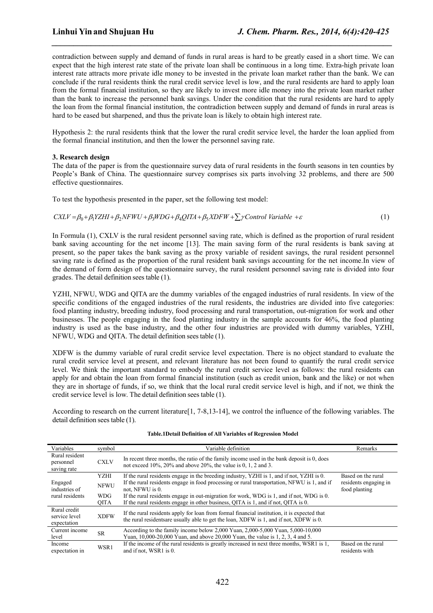contradiction between supply and demand of funds in rural areas is hard to be greatly eased in a short time. We can expect that the high interest rate state of the private loan shall be continuous in a long time. Extra-high private loan interest rate attracts more private idle money to be invested in the private loan market rather than the bank. We can conclude if the rural residents think the rural credit service level is low, and the rural residents are hard to apply loan from the formal financial institution, so they are likely to invest more idle money into the private loan market rather than the bank to increase the personnel bank savings. Under the condition that the rural residents are hard to apply the loan from the formal financial institution, the contradiction between supply and demand of funds in rural areas is hard to be eased but sharpened, and thus the private loan is likely to obtain high interest rate.

*\_\_\_\_\_\_\_\_\_\_\_\_\_\_\_\_\_\_\_\_\_\_\_\_\_\_\_\_\_\_\_\_\_\_\_\_\_\_\_\_\_\_\_\_\_\_\_\_\_\_\_\_\_\_\_\_\_\_\_\_\_\_\_\_\_\_\_\_\_\_\_\_\_\_\_\_\_\_*

Hypothesis 2: the rural residents think that the lower the rural credit service level, the harder the loan applied from the formal financial institution, and then the lower the personnel saving rate.

### **3. Research design**

The data of the paper is from the questionnaire survey data of rural residents in the fourth seasons in ten counties by People's Bank of China. The questionnaire survey comprises six parts involving 32 problems, and there are 500 effective questionnaires.

To test the hypothesis presented in the paper, set the following test model:

$$
CXLV = \beta_0 + \beta_1 YZHI + \beta_2 NFWU + \beta_3 WDG + \beta_4 QITA + \beta_5 XDFW + \sum \gamma Control \text{ Variable } + \varepsilon
$$
\n(1)

In Formula (1), CXLV is the rural resident personnel saving rate, which is defined as the proportion of rural resident bank saving accounting for the net income [13]. The main saving form of the rural residents is bank saving at present, so the paper takes the bank saving as the proxy variable of resident savings, the rural resident personnel saving rate is defined as the proportion of the rural resident bank savings accounting for the net income. In view of the demand of form design of the questionnaire survey, the rural resident personnel saving rate is divided into four grades. The detail definition sees table (1).

YZHI, NFWU, WDG and QITA are the dummy variables of the engaged industries of rural residents. In view of the specific conditions of the engaged industries of the rural residents, the industries are divided into five categories: food planting industry, breeding industry, food processing and rural transportation, out-migration for work and other businesses. The people engaging in the food planting industry in the sample accounts for 46%, the food planting industry is used as the base industry, and the other four industries are provided with dummy variables, YZHI, NFWU, WDG and QITA. The detail definition sees table (1).

XDFW is the dummy variable of rural credit service level expectation. There is no object standard to evaluate the rural credit service level at present, and relevant literature has not been found to quantify the rural credit service level. We think the important standard to embody the rural credit service level as follows: the rural residents can apply for and obtain the loan from formal financial institution (such as credit union, bank and the like) or not when they are in shortage of funds, if so, we think that the local rural credit service level is high, and if not, we think the credit service level is low. The detail definition sees table (1).

According to research on the current literature $[1, 7-8, 13-14]$ , we control the influence of the following variables. The detail definition sees table (1).

| Variables                                    | symbol                         | Variable definition                                                                                                                                                                     | Remarks                                |  |  |  |
|----------------------------------------------|--------------------------------|-----------------------------------------------------------------------------------------------------------------------------------------------------------------------------------------|----------------------------------------|--|--|--|
| Rural resident<br>personnel<br>saving rate   | <b>CXLV</b>                    | In recent three months, the ratio of the family income used in the bank deposit is 0, does<br>not exceed $10\%$ , $20\%$ and above $20\%$ , the value is 0, 1, 2 and 3.                 |                                        |  |  |  |
|                                              | <b>YZHI</b>                    | If the rural residents engage in the breeding industry, YZHI is 1, and if not, YZHI is 0.                                                                                               | Based on the rural                     |  |  |  |
| Engaged<br>industries of                     | <b>NFWU</b><br>not. NFWU is 0. | If the rural residents engage in food processing or rural transportation, NFWU is 1, and if                                                                                             | residents engaging in<br>food planting |  |  |  |
| rural residents                              | <b>WDG</b><br><b>OITA</b>      | If the rural residents engage in out-migration for work, WDG is 1, and if not, WDG is 0.<br>If the rural residents engage in other business, QITA is 1, and if not, QITA is 0.          |                                        |  |  |  |
| Rural credit<br>service level<br>expectation | <b>XDFW</b>                    | If the rural residents apply for loan from formal financial institution, it is expected that<br>the rural residents are usually able to get the loan, XDFW is 1, and if not, XDFW is 0. |                                        |  |  |  |
| Current income<br>level                      | <b>SR</b>                      | According to the family income below $2,000$ Yuan, $2,000-5,000$ Yuan, $5,000-10,000$<br>Yuan, 10,000-20,000 Yuan, and above 20,000 Yuan, the value is 1, 2, 3, 4 and 5.                |                                        |  |  |  |
| Income<br>expectation in                     | WSR1                           | If the income of the rural residents is greatly increased in next three months, WSR1 is 1,<br>and if not, WSR1 is 0.                                                                    | Based on the rural<br>residents with   |  |  |  |

#### **Table.1Detail Definition of All Variables of Regression Model**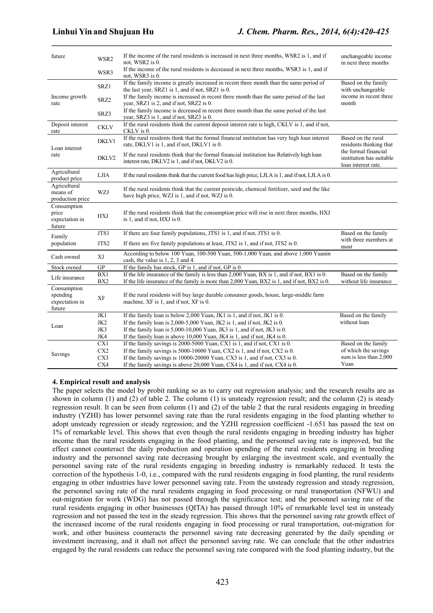*\_\_\_\_\_\_\_\_\_\_\_\_\_\_\_\_\_\_\_\_\_\_\_\_\_\_\_\_\_\_\_\_\_\_\_\_\_\_\_\_\_\_\_\_\_\_\_\_\_\_\_\_\_\_\_\_\_\_\_\_\_\_\_\_\_\_\_\_\_\_\_\_\_\_\_\_\_\_*

| future                                              | WSR2            | If the income of the rural residents is increased in next three months, WSR2 is 1, and if<br>not, WSR2 is 0.                                                                                  | unchangeable income<br>in next three months                             |
|-----------------------------------------------------|-----------------|-----------------------------------------------------------------------------------------------------------------------------------------------------------------------------------------------|-------------------------------------------------------------------------|
|                                                     | WSR3            | If the income of the rural residents is decreased in next three months, WSR3 is 1, and if<br>not, WSR3 is 0.                                                                                  |                                                                         |
|                                                     | SRZ1            | If the family income is greatly increased in recent three month than the same period of<br>the last year, SRZ1 is 1, and if not, SRZ1 is 0.                                                   | Based on the family<br>with unchangeable                                |
| Income growth<br>rate                               | SRZ2            | If the family income is increased in recent three month than the same period of the last<br>year, SRZ1 is 2, and if not, SRZ2 is 0.                                                           | income in recent three<br>month                                         |
|                                                     | SRZ3            | If the family income is decreased in recent three month than the same period of the last<br>year, SRZ3 is 1, and if not, SRZ3 is 0.                                                           |                                                                         |
| Deposit interest<br>rate                            | <b>CKLV</b>     | If the rural residents think the current deposit interest rate is high, CKLV is 1, and if not,<br>CKLV is 0.                                                                                  |                                                                         |
| Loan interest                                       | DKLV1           | If the rural residents think that the formal financial institution has very high loan interest<br>rate, DKLV1 is 1, and if not, DKLV1 is 0.                                                   | Based on the rural<br>residents thinking that                           |
| rate                                                | DKLV2           | If the rural residents think that the formal financial institution has Relatively high loan<br>interest rate, DKLV2 is 1, and if not, DKLV2 is 0.                                             | the formal financial<br>institution has suitable<br>loan interest rate. |
| Agricultural<br>product price                       | <b>LJIA</b>     | If the rural residents think that the current food has high price, LJLA is 1, and if not, LJLA is 0.                                                                                          |                                                                         |
| Agricultural<br>means of<br>production price        | <b>WZJ</b>      | If the rural residents think that the current pesticide, chemical fertilizer, seed and the like<br>have high price, WZJ is 1, and if not, WZJ is 0.                                           |                                                                         |
| Consumption<br>price<br>expectation in<br>future    | <b>HXJ</b>      | If the rural residents think that the consumption price will rise in next three months, HXJ<br>is 1, and if not, HXJ is 0.                                                                    |                                                                         |
| Family                                              | JTS1            | If there are four family populations, JTS1 is 1, and if not, JTS1 is 0.                                                                                                                       | Based on the family<br>with three members at                            |
| population                                          | JTS2            | If there are five family populations at least, JTS2 is 1, and if not, JTS2 is 0.                                                                                                              | most                                                                    |
| Cash owned                                          | XJ              | According to below 100 Yuan, 100-500 Yuan, 500-1,000 Yuan, and above 1,000 Yuanin<br>cash, the value is $1, 2, 3$ and 4.                                                                      |                                                                         |
| Stock owned                                         | GP              | If the family has stock, GP is 1, and if not, GP is 0.                                                                                                                                        |                                                                         |
| Life insurance                                      | BX1<br>BX2      | If the life insurance of the family is less than $2,000$ Yuan, BX is 1, and if not, BX1 is 0.<br>If the life insurance of the family is more than 2,000 Yuan, BX2 is 1, and if not, BX2 is 0. | Based on the family<br>without life insurance                           |
| Consumption<br>spending<br>expectation in<br>future | XF              | If the rural residents will buy large durable consumer goods, house, large-middle farm<br>machine, XF is 1, and if not, XF is 0.                                                              |                                                                         |
|                                                     | JK1             | If the family loan is below 2,000 Yuan, JK1 is 1, and if not, JK1 is 0.                                                                                                                       | Based on the family                                                     |
| Loan                                                | JK <sub>2</sub> | If the family loan is $2,000-5,000$ Yuan, JK2 is 1, and if not, JK2 is 0.                                                                                                                     | without loan                                                            |
|                                                     | JK3             | If the family loan is $5,000-10,000$ Yuan, JK3 is 1, and if not, JK3 is 0.                                                                                                                    |                                                                         |
|                                                     | JK4             | If the family loan is above $10,000$ Yuan, JK4 is 1, and if not, JK4 is 0.                                                                                                                    |                                                                         |
|                                                     | CX1             | If the family savings is 2000-5000 Yuan, CX1 is 1, and if not, CX1 is 0.                                                                                                                      | Based on the family                                                     |
| Savings                                             | CX2             | If the family savings is 5000-10000 Yuan, CX2 is 1, and if not, CX2 is 0.                                                                                                                     | of which the savings                                                    |
|                                                     | CX3             | If the family savings is $10000-20000$ Yuan, CX3 is 1, and if not, CX3 is 0.                                                                                                                  | sum is less than 2,000                                                  |
|                                                     | CX4             | If the family savings is above 20,000 Yuan, CX4 is 1, and if not, CX4 is 0.                                                                                                                   | Yuan                                                                    |

#### **4. Empirical result and analysis**

The paper selects the model by probit ranking so as to carry out regression analysis; and the research results are as shown in column (1) and (2) of table 2. The column (1) is unsteady regression result; and the column (2) is steady regression result. It can be seen from column (1) and (2) of the table 2 that the rural residents engaging in breeding industry (YZHI) has lower personnel saving rate than the rural residents engaging in the food planting whether to adopt unsteady regression or steady regression; and the YZHI regression coefficient -1.651 has passed the test on 1% of remarkable level. This shows that even though the rural residents engaging in breeding industry has higher income than the rural residents engaging in the food planting, and the personnel saving rate isimproved, but the effect cannot counteract the daily production and operation spending of the rural residents engaging in breeding industry and the personnel saving rate decreasing brought by enlarging the investment scale, and eventually the personnel saving rate of the rural residents engaging in breeding industry is remarkably reduced. It tests the correction of the hypothesis 1-0, i.e., compared with the rural residents engaging in food planting, the rural residents engaging in other industries have lower personnel saving rate. From the unsteady regression and steady regression, the personnel saving rate of the rural residents engaging in food processing or rural transportation (NFWU) and out-migration for work (WDG) has not passed through the significance test; and the personnel saving rate of the rural residents engaging in other businesses (QITA) has passed through 10% of remarkable level test in unsteady regression and not passed the test in the steady regression. This shows that the personnel saving rate growth effect of the increased income of the rural residents engaging in food processing or rural transportation, out-migration for work, and other business counteracts the personnel saving rate decreasing generated by the daily spending or investment increasing, and it shall not affect the personnel saving rate. We can conclude that the other industries engaged by the rural residents can reduce the personnel saving rate compared with the food planting industry, but the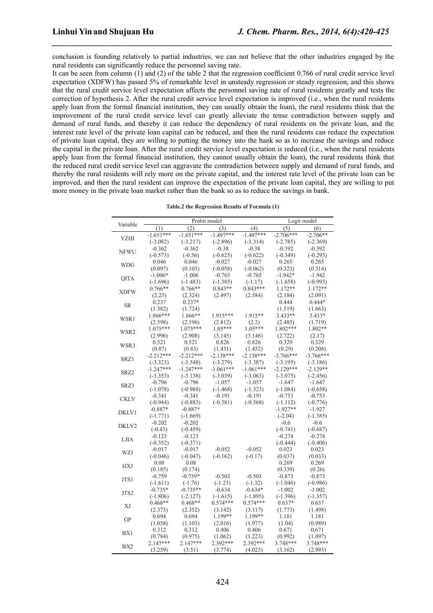conclusion is founding relatively to partial industries, we can not believe that the other industries engaged by the rural residents can significantly reduce the personnel saving rate.

*\_\_\_\_\_\_\_\_\_\_\_\_\_\_\_\_\_\_\_\_\_\_\_\_\_\_\_\_\_\_\_\_\_\_\_\_\_\_\_\_\_\_\_\_\_\_\_\_\_\_\_\_\_\_\_\_\_\_\_\_\_\_\_\_\_\_\_\_\_\_\_\_\_\_\_\_\_\_*

It can be seen from column (1) and (2) of the table 2 that the regression coefficient 0.766 of rural credit service level expectation (XDFW) has passed 5% of remarkable level in unsteady regression or steady regression, and this shows that the rural credit service level expectation affects the personnel saving rate of rural residents greatly and tests the correction of hypothesis 2. After the rural credit service level expectation is improved (i.e., when the rural residents apply loan from the formal financial institution, they can usually obtain the loan), the rural residents think that the improvement of the rural credit service level can greatly alleviate the tense contradiction between supply and demand of rural funds, and thereby it can reduce the dependency of rural residents on the private loan, and the interest rate level of the private loan capital can be reduced, and then the rural residents can reduce the expectation of private loan capital, they are willing to putting the money into the bank so as to increase the savings and reduce the capital in the private loan. After the rural credit service level expectation is reduced (i.e., when the rural residents apply loan from the formal financial institution, they cannot usually obtain the loan), the rural residents think that the reduced rural credit service level can aggravate the contradiction between supply and demand of rural funds, and thereby the rural residents will rely more on the private capital, and the interest rate level of the private loan can be improved, and then the rural resident can improve the expectation of the private loan capital, they are willing to put more money in the private loan market rather than the bank so as to reduce the savings in bank.

|                            | Probit model |             |             |             |             |             |  |  |
|----------------------------|--------------|-------------|-------------|-------------|-------------|-------------|--|--|
| Variable                   |              | (2)         | (3)         | (4)         | (5)         | Logit model |  |  |
|                            | (1)          | $-1.651***$ |             | $-1.497***$ |             | (6)         |  |  |
| <b>YZHI</b><br><b>NFWU</b> | $-1.651***$  |             | $-1.497***$ |             | $-2.706***$ | $-2.706**$  |  |  |
|                            | $(-3.082)$   | $(-3.217)$  | $(-2.896)$  | $(-3.314)$  | $(-2.785)$  | $(-2.369)$  |  |  |
|                            | $-0.362$     | $-0.362$    | $-0.38$     | $-0.38$     | $-0.392$    | $-0.392$    |  |  |
|                            | $(-0.573)$   | $(-0.56)$   | $(-0.625)$  | $(-0.622)$  | $(-0.349)$  | $(-0.295)$  |  |  |
| <b>WDG</b>                 | 0.046        | 0.046       | $-0.027$    | $-0.027$    | 0.265       | 0.265       |  |  |
|                            | (0.097)      | (0.105)     | $(-0.058)$  | $(-0.062)$  | (0.323)     | (0.314)     |  |  |
| <b>QITA</b>                | $-1.006*$    | $-1.006$    | $-0.765$    | $-0.765$    | $-1.942*$   | $-1.942$    |  |  |
|                            | $(-1.696)$   | $(-1.483)$  | $(-1.385)$  | $(-1.17)$   | $(-1.658)$  | $(-0.993)$  |  |  |
| <b>XDFW</b>                | $0.766**$    | $0.766**$   | $0.843**$   | $0.843***$  | 1.172**     | 1.172**     |  |  |
|                            | (2.23)       | (2.324)     | (2.497)     | (2.584)     | (2.184)     | (2.091)     |  |  |
| <b>SR</b>                  | 0.237        | $0.237*$    |             |             | 0.444       | $0.444*$    |  |  |
|                            | (1.382)      | (1.724)     |             |             | (1.519)     | (1.663)     |  |  |
| WSR1                       | 1.866***     | 1.866**     | $1.915***$  | $1.915**$   | $3.433**$   | $3.433*$    |  |  |
|                            | (2.598)      | (2.196)     | (2.812)     | (2.2)       | (2.485)     | (1.719)     |  |  |
| WSR2                       | $1.075***$   | $1.075***$  | $1.05***$   | $1.05***$   | 1.802***    | 1.802**     |  |  |
|                            | (2.996)      | (2.908)     | (3.145)     | (3.146)     | (2.722)     | (2.17)      |  |  |
| WSR3                       | 0.521        | 0.521       | 0.826       | 0.826       | 0.329       | 0.329       |  |  |
|                            | (0.87)       | (0.83)      | (1.431)     | (1.452)     | (0.29)      | (0.208)     |  |  |
| SRZ1                       | $-2.212***$  | $-2.212***$ | $-2.138***$ | $-2.138***$ | $-3.766***$ | $-3.766***$ |  |  |
|                            | $(-3.323)$   | $(-3.548)$  | $(-3.279)$  | $(-3.387)$  | $(-3.195)$  | $(-3.186)$  |  |  |
| SRZ2                       | $-1.247***$  | $-1.247***$ | $-1.061***$ | $-1.061***$ | $-2.129***$ | $-2.129**$  |  |  |
|                            | $(-3.353)$   | $(-3.138)$  | $(-3.039)$  | $(-3.063)$  | $(-3.075)$  | $(-2.456)$  |  |  |
| SRZ3                       | $-0.796$     | $-0.796$    | $-1.057$    | $-1.057$    | $-1.647$    | $-1.647$    |  |  |
|                            | $(-1.078)$   | $(-0.988)$  | $(-1.468)$  | $(-1.323)$  | $(-1.084)$  | $(-0.658)$  |  |  |
| <b>CKLV</b>                | $-0.341$     | $-0.341$    | $-0.191$    | $-0.191$    | $-0.753$    | $-0.753$    |  |  |
|                            | $(-0.944)$   | $(-0.883)$  | $(-0.581)$  | $(-0.568)$  | $(-1.112)$  | $(-0.776)$  |  |  |
| DKLV1                      | $-0.887*$    | $-0.887*$   |             |             | $-1.927**$  | $-1.927$    |  |  |
|                            | $(-1.771)$   | $(-1.669)$  |             |             | $(-2.04)$   | $(-1.385)$  |  |  |
| DKLV2                      | $-0.202$     | $-0.202$    |             |             | $-0.6$      | $-0.6$      |  |  |
|                            | $(-0.43)$    | $(-0.459)$  |             |             | $(-0.741)$  | $(-0.687)$  |  |  |
| <b>LJIA</b>                | $-0.123$     | $-0.123$    |             |             | $-0.274$    | $-0.274$    |  |  |
|                            | $(-0.352)$   | $(-0.371)$  |             |             | $(-0.444)$  | $(-0.406)$  |  |  |
| WZJ                        | $-0.017$     | $-0.017$    | $-0.052$    | $-0.052$    | 0.023       | 0.023       |  |  |
|                            | $(-0.046)$   | $(-0.047)$  | $(-0.162)$  | $(-0.17)$   | (0.037)     | (0.033)     |  |  |
|                            | 0.08         | 0.08        |             |             | 0.269       | 0.269       |  |  |
| <b>HXJ</b>                 | (0.185)      | (0.174)     |             |             | (0.339)     | (0.26)      |  |  |
|                            | $-0.759$     | $-0.759*$   | $-0.503$    | $-0.503$    | $-0.873$    | $-0.873$    |  |  |
| JTS1                       | $(-1.611)$   | $(-1.76)$   | $(-1.23)$   | $(-1.32)$   | $(-1.046)$  | $(-0.986)$  |  |  |
|                            | $-0.735*$    | $-0.735**$  | $-0.634$    | $-0.634*$   | $-1.002$    | $-1.002$    |  |  |
| JTS2                       | $(-1.806)$   | $(-2.127)$  | $(-1.615)$  | $(-1.895)$  | $(-1.396)$  | $(-1.357)$  |  |  |
|                            | $0.468**$    | $0.468**$   | $0.574***$  | $0.574***$  | $0.637*$    | 0.637       |  |  |
| XJ                         | (2.373)      | (2.352)     | (3.142)     | (3.117)     | (1.773)     | (1.498)     |  |  |
| <b>GP</b>                  | 0.694        | 0.694       | 1.199**     | 1.199**     | 1.181       | 1.181       |  |  |
|                            | (1.058)      | (1.103)     | (2.016)     | (1.977)     | (1.04)      | (0.989)     |  |  |
|                            | 0.312        | 0.312       | 0.406       | 0.406       | 0.671       | 0.671       |  |  |
| BX1                        | (0.784)      | (0.975)     | (1.062)     | (1.223)     | (0.992)     | (1.097)     |  |  |
|                            | $2.147***$   | $2.147***$  | 2.392***    | 2.392***    | 3.748***    | 3.748***    |  |  |
| BX <sub>2</sub>            | (3.259)      | (3.51)      | (3.774)     | (4.023)     | (3.162)     | (2.993)     |  |  |

| Table.2 the Regression Results of Formula (1) |  |
|-----------------------------------------------|--|
|-----------------------------------------------|--|